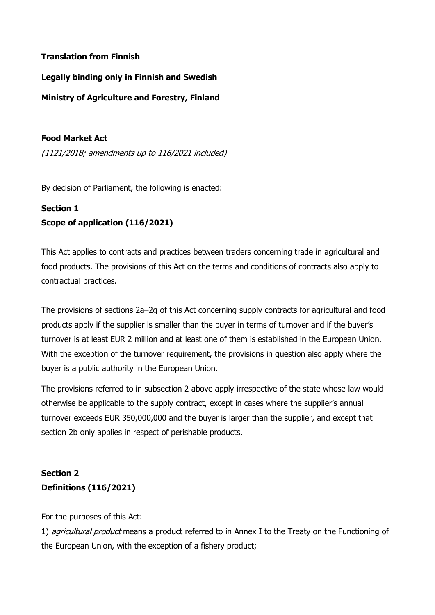### Translation from Finnish

Legally binding only in Finnish and Swedish

Ministry of Agriculture and Forestry, Finland

#### Food Market Act

(1121/2018; amendments up to 116/2021 included)

By decision of Parliament, the following is enacted:

### Section 1 Scope of application (116/2021)

This Act applies to contracts and practices between traders concerning trade in agricultural and food products. The provisions of this Act on the terms and conditions of contracts also apply to contractual practices.

The provisions of sections 2a–2g of this Act concerning supply contracts for agricultural and food products apply if the supplier is smaller than the buyer in terms of turnover and if the buyer's turnover is at least EUR 2 million and at least one of them is established in the European Union. With the exception of the turnover requirement, the provisions in question also apply where the buyer is a public authority in the European Union.

The provisions referred to in subsection 2 above apply irrespective of the state whose law would otherwise be applicable to the supply contract, except in cases where the supplier's annual turnover exceeds EUR 350,000,000 and the buyer is larger than the supplier, and except that section 2b only applies in respect of perishable products.

# Section 2 Definitions (116/2021)

For the purposes of this Act:

1) *agricultural product* means a product referred to in Annex I to the Treaty on the Functioning of the European Union, with the exception of a fishery product;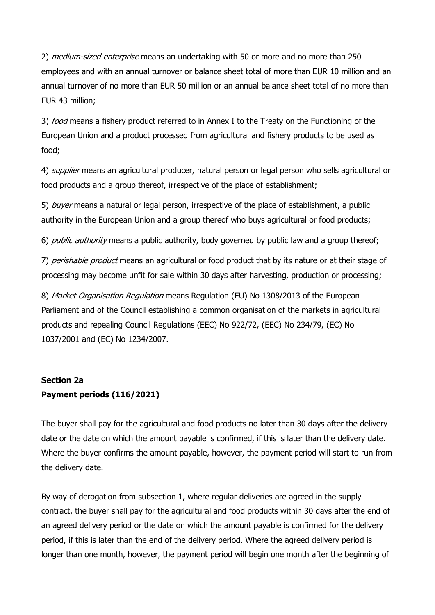2) medium-sized enterprise means an undertaking with 50 or more and no more than 250 employees and with an annual turnover or balance sheet total of more than EUR 10 million and an annual turnover of no more than EUR 50 million or an annual balance sheet total of no more than EUR 43 million;

3) *food* means a fishery product referred to in Annex I to the Treaty on the Functioning of the European Union and a product processed from agricultural and fishery products to be used as food;

4) *supplier* means an agricultural producer, natural person or legal person who sells agricultural or food products and a group thereof, irrespective of the place of establishment;

5) buyer means a natural or legal person, irrespective of the place of establishment, a public authority in the European Union and a group thereof who buys agricultural or food products;

6) *public authority* means a public authority, body governed by public law and a group thereof;

7) perishable product means an agricultural or food product that by its nature or at their stage of processing may become unfit for sale within 30 days after harvesting, production or processing;

8) Market Organisation Regulation means Regulation (EU) No 1308/2013 of the European Parliament and of the Council establishing a common organisation of the markets in agricultural products and repealing Council Regulations (EEC) No 922/72, (EEC) No 234/79, (EC) No 1037/2001 and (EC) No 1234/2007.

## Section 2a Payment periods (116/2021)

The buyer shall pay for the agricultural and food products no later than 30 days after the delivery date or the date on which the amount payable is confirmed, if this is later than the delivery date. Where the buyer confirms the amount payable, however, the payment period will start to run from the delivery date.

By way of derogation from subsection 1, where regular deliveries are agreed in the supply contract, the buyer shall pay for the agricultural and food products within 30 days after the end of an agreed delivery period or the date on which the amount payable is confirmed for the delivery period, if this is later than the end of the delivery period. Where the agreed delivery period is longer than one month, however, the payment period will begin one month after the beginning of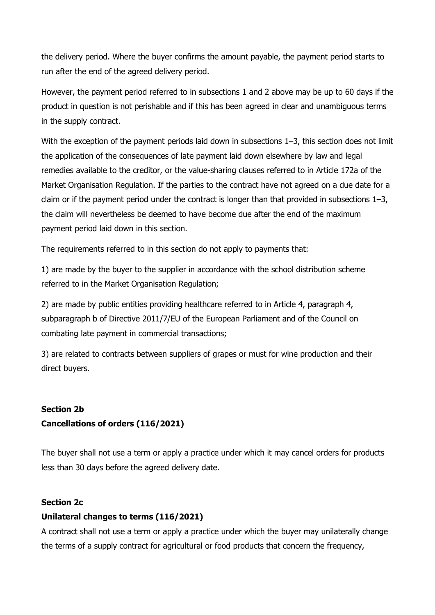the delivery period. Where the buyer confirms the amount payable, the payment period starts to run after the end of the agreed delivery period.

However, the payment period referred to in subsections 1 and 2 above may be up to 60 days if the product in question is not perishable and if this has been agreed in clear and unambiguous terms in the supply contract.

With the exception of the payment periods laid down in subsections 1–3, this section does not limit the application of the consequences of late payment laid down elsewhere by law and legal remedies available to the creditor, or the value-sharing clauses referred to in Article 172a of the Market Organisation Regulation. If the parties to the contract have not agreed on a due date for a claim or if the payment period under the contract is longer than that provided in subsections 1–3, the claim will nevertheless be deemed to have become due after the end of the maximum payment period laid down in this section.

The requirements referred to in this section do not apply to payments that:

1) are made by the buyer to the supplier in accordance with the school distribution scheme referred to in the Market Organisation Regulation;

2) are made by public entities providing healthcare referred to in Article 4, paragraph 4, subparagraph b of Directive 2011/7/EU of the European Parliament and of the Council on combating late payment in commercial transactions;

3) are related to contracts between suppliers of grapes or must for wine production and their direct buyers.

## Section 2b Cancellations of orders (116/2021)

The buyer shall not use a term or apply a practice under which it may cancel orders for products less than 30 days before the agreed delivery date.

### Section 2c

### Unilateral changes to terms (116/2021)

A contract shall not use a term or apply a practice under which the buyer may unilaterally change the terms of a supply contract for agricultural or food products that concern the frequency,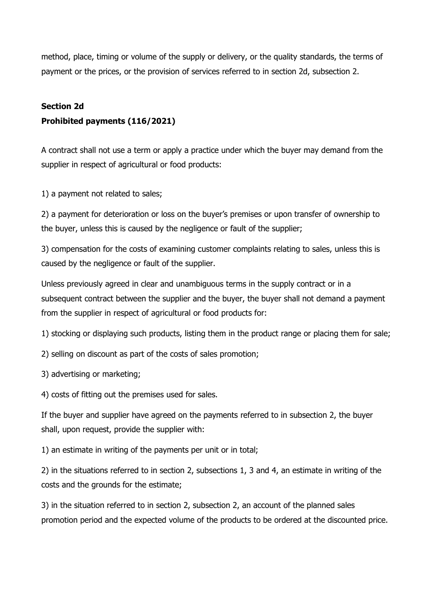method, place, timing or volume of the supply or delivery, or the quality standards, the terms of payment or the prices, or the provision of services referred to in section 2d, subsection 2.

## Section 2d Prohibited payments (116/2021)

A contract shall not use a term or apply a practice under which the buyer may demand from the supplier in respect of agricultural or food products:

1) a payment not related to sales;

2) a payment for deterioration or loss on the buyer's premises or upon transfer of ownership to the buyer, unless this is caused by the negligence or fault of the supplier;

3) compensation for the costs of examining customer complaints relating to sales, unless this is caused by the negligence or fault of the supplier.

Unless previously agreed in clear and unambiguous terms in the supply contract or in a subsequent contract between the supplier and the buyer, the buyer shall not demand a payment from the supplier in respect of agricultural or food products for:

1) stocking or displaying such products, listing them in the product range or placing them for sale;

2) selling on discount as part of the costs of sales promotion;

3) advertising or marketing;

4) costs of fitting out the premises used for sales.

If the buyer and supplier have agreed on the payments referred to in subsection 2, the buyer shall, upon request, provide the supplier with:

1) an estimate in writing of the payments per unit or in total;

2) in the situations referred to in section 2, subsections 1, 3 and 4, an estimate in writing of the costs and the grounds for the estimate;

3) in the situation referred to in section 2, subsection 2, an account of the planned sales promotion period and the expected volume of the products to be ordered at the discounted price.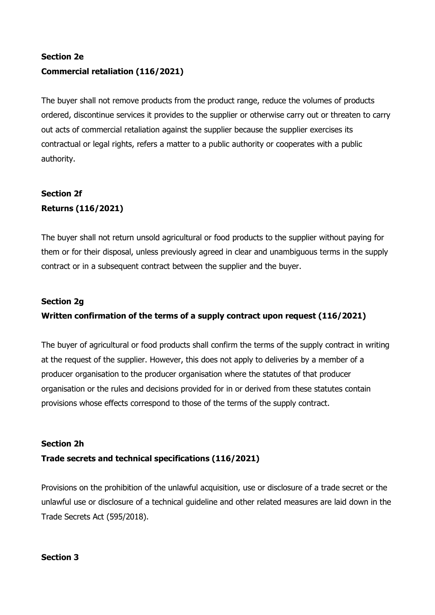## Section 2e Commercial retaliation (116/2021)

The buyer shall not remove products from the product range, reduce the volumes of products ordered, discontinue services it provides to the supplier or otherwise carry out or threaten to carry out acts of commercial retaliation against the supplier because the supplier exercises its contractual or legal rights, refers a matter to a public authority or cooperates with a public authority.

# Section 2f Returns (116/2021)

The buyer shall not return unsold agricultural or food products to the supplier without paying for them or for their disposal, unless previously agreed in clear and unambiguous terms in the supply contract or in a subsequent contract between the supplier and the buyer.

### Section 2g Written confirmation of the terms of a supply contract upon request (116/2021)

The buyer of agricultural or food products shall confirm the terms of the supply contract in writing at the request of the supplier. However, this does not apply to deliveries by a member of a producer organisation to the producer organisation where the statutes of that producer organisation or the rules and decisions provided for in or derived from these statutes contain provisions whose effects correspond to those of the terms of the supply contract.

### Section 2h

### Trade secrets and technical specifications (116/2021)

Provisions on the prohibition of the unlawful acquisition, use or disclosure of a trade secret or the unlawful use or disclosure of a technical guideline and other related measures are laid down in the Trade Secrets Act (595/2018).

### Section 3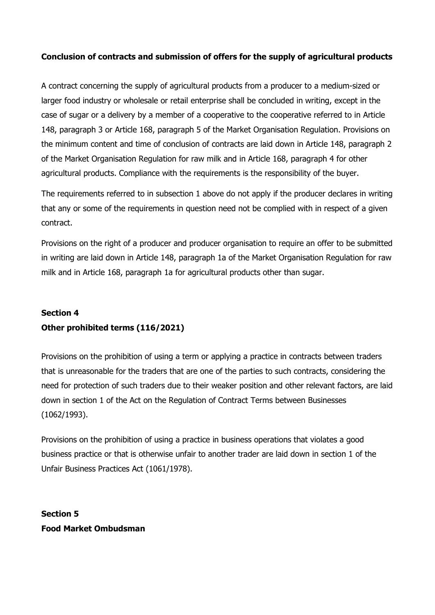### Conclusion of contracts and submission of offers for the supply of agricultural products

A contract concerning the supply of agricultural products from a producer to a medium-sized or larger food industry or wholesale or retail enterprise shall be concluded in writing, except in the case of sugar or a delivery by a member of a cooperative to the cooperative referred to in Article 148, paragraph 3 or Article 168, paragraph 5 of the Market Organisation Regulation. Provisions on the minimum content and time of conclusion of contracts are laid down in Article 148, paragraph 2 of the Market Organisation Regulation for raw milk and in Article 168, paragraph 4 for other agricultural products. Compliance with the requirements is the responsibility of the buyer.

The requirements referred to in subsection 1 above do not apply if the producer declares in writing that any or some of the requirements in question need not be complied with in respect of a given contract.

Provisions on the right of a producer and producer organisation to require an offer to be submitted in writing are laid down in Article 148, paragraph 1a of the Market Organisation Regulation for raw milk and in Article 168, paragraph 1a for agricultural products other than sugar.

## Section 4 Other prohibited terms (116/2021)

Provisions on the prohibition of using a term or applying a practice in contracts between traders that is unreasonable for the traders that are one of the parties to such contracts, considering the need for protection of such traders due to their weaker position and other relevant factors, are laid down in section 1 of the Act on the Regulation of Contract Terms between Businesses (1062/1993).

Provisions on the prohibition of using a practice in business operations that violates a good business practice or that is otherwise unfair to another trader are laid down in section 1 of the Unfair Business Practices Act (1061/1978).

Section 5 Food Market Ombudsman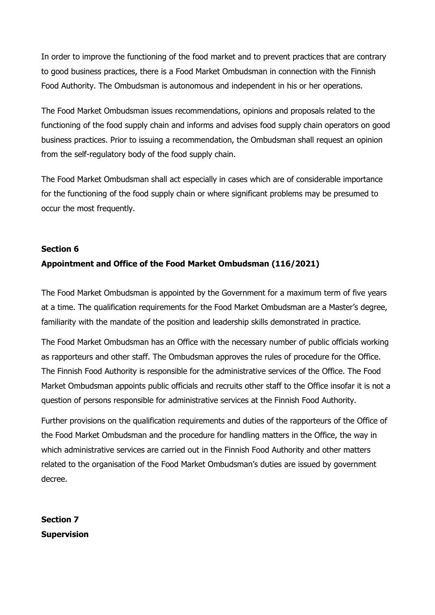In order to improve the functioning of the food market and to prevent practices that are contrary to good business practices, there is a Food Market Ombudsman in connection with the Finnish Food Authority. The Ombudsman is autonomous and independent in his or her operations.

The Food Market Ombudsman issues recommendations, opinions and proposals related to the functioning of the food supply chain and informs and advises food supply chain operators on good business practices. Prior to issuing a recommendation, the Ombudsman shall request an opinion from the self-regulatory body of the food supply chain.

The Food Market Ombudsman shall act especially in cases which are of considerable importance for the functioning of the food supply chain or where significant problems may be presumed to occur the most frequently.

### Section 6 Appointment and Office of the Food Market Ombudsman (116/2021)

The Food Market Ombudsman is appointed by the Government for a maximum term of five years at a time. The qualification requirements for the Food Market Ombudsman are a Master's degree, familiarity with the mandate of the position and leadership skills demonstrated in practice.

The Food Market Ombudsman has an Office with the necessary number of public officials working as rapporteurs and other staff. The Ombudsman approves the rules of procedure for the Office. The Finnish Food Authority is responsible for the administrative services of the Office. The Food Market Ombudsman appoints public officials and recruits other staff to the Office insofar it is not a question of persons responsible for administrative services at the Finnish Food Authority.

Further provisions on the qualification requirements and duties of the rapporteurs of the Office of the Food Market Ombudsman and the procedure for handling matters in the Office, the way in which administrative services are carried out in the Finnish Food Authority and other matters related to the organisation of the Food Market Ombudsman's duties are issued by government decree.

Section 7 Supervision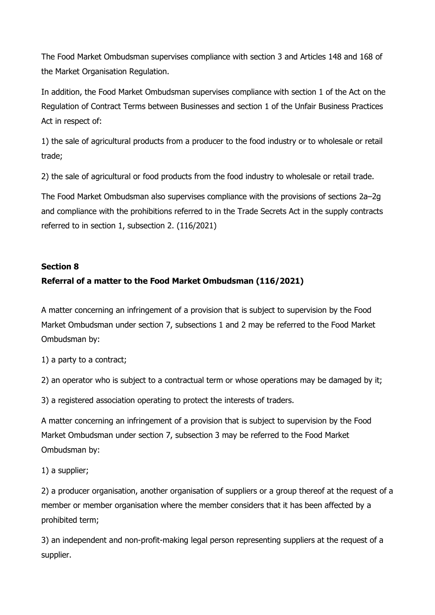The Food Market Ombudsman supervises compliance with section 3 and Articles 148 and 168 of the Market Organisation Regulation.

In addition, the Food Market Ombudsman supervises compliance with section 1 of the Act on the Regulation of Contract Terms between Businesses and section 1 of the Unfair Business Practices Act in respect of:

1) the sale of agricultural products from a producer to the food industry or to wholesale or retail trade;

2) the sale of agricultural or food products from the food industry to wholesale or retail trade.

The Food Market Ombudsman also supervises compliance with the provisions of sections 2a–2g and compliance with the prohibitions referred to in the Trade Secrets Act in the supply contracts referred to in section 1, subsection 2. (116/2021)

### Section 8

### Referral of a matter to the Food Market Ombudsman (116/2021)

A matter concerning an infringement of a provision that is subject to supervision by the Food Market Ombudsman under section 7, subsections 1 and 2 may be referred to the Food Market Ombudsman by:

1) a party to a contract;

2) an operator who is subject to a contractual term or whose operations may be damaged by it;

3) a registered association operating to protect the interests of traders.

A matter concerning an infringement of a provision that is subject to supervision by the Food Market Ombudsman under section 7, subsection 3 may be referred to the Food Market Ombudsman by:

1) a supplier;

2) a producer organisation, another organisation of suppliers or a group thereof at the request of a member or member organisation where the member considers that it has been affected by a prohibited term;

3) an independent and non-profit-making legal person representing suppliers at the request of a supplier.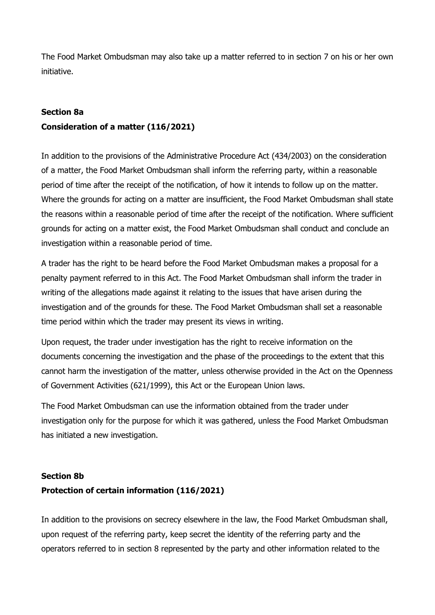The Food Market Ombudsman may also take up a matter referred to in section 7 on his or her own initiative.

#### Section 8a

### Consideration of a matter (116/2021)

In addition to the provisions of the Administrative Procedure Act (434/2003) on the consideration of a matter, the Food Market Ombudsman shall inform the referring party, within a reasonable period of time after the receipt of the notification, of how it intends to follow up on the matter. Where the grounds for acting on a matter are insufficient, the Food Market Ombudsman shall state the reasons within a reasonable period of time after the receipt of the notification. Where sufficient grounds for acting on a matter exist, the Food Market Ombudsman shall conduct and conclude an investigation within a reasonable period of time.

A trader has the right to be heard before the Food Market Ombudsman makes a proposal for a penalty payment referred to in this Act. The Food Market Ombudsman shall inform the trader in writing of the allegations made against it relating to the issues that have arisen during the investigation and of the grounds for these. The Food Market Ombudsman shall set a reasonable time period within which the trader may present its views in writing.

Upon request, the trader under investigation has the right to receive information on the documents concerning the investigation and the phase of the proceedings to the extent that this cannot harm the investigation of the matter, unless otherwise provided in the Act on the Openness of Government Activities (621/1999), this Act or the European Union laws.

The Food Market Ombudsman can use the information obtained from the trader under investigation only for the purpose for which it was gathered, unless the Food Market Ombudsman has initiated a new investigation.

#### Section 8b

#### Protection of certain information (116/2021)

In addition to the provisions on secrecy elsewhere in the law, the Food Market Ombudsman shall, upon request of the referring party, keep secret the identity of the referring party and the operators referred to in section 8 represented by the party and other information related to the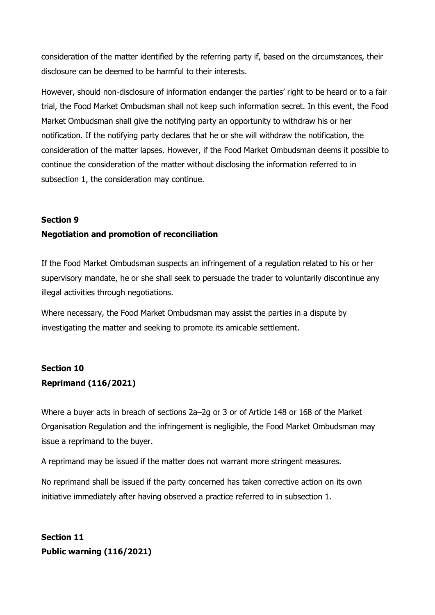consideration of the matter identified by the referring party if, based on the circumstances, their disclosure can be deemed to be harmful to their interests.

However, should non-disclosure of information endanger the parties' right to be heard or to a fair trial, the Food Market Ombudsman shall not keep such information secret. In this event, the Food Market Ombudsman shall give the notifying party an opportunity to withdraw his or her notification. If the notifying party declares that he or she will withdraw the notification, the consideration of the matter lapses. However, if the Food Market Ombudsman deems it possible to continue the consideration of the matter without disclosing the information referred to in subsection 1, the consideration may continue.

#### Section 9

#### Negotiation and promotion of reconciliation

If the Food Market Ombudsman suspects an infringement of a regulation related to his or her supervisory mandate, he or she shall seek to persuade the trader to voluntarily discontinue any illegal activities through negotiations.

Where necessary, the Food Market Ombudsman may assist the parties in a dispute by investigating the matter and seeking to promote its amicable settlement.

# Section 10 Reprimand (116/2021)

Where a buyer acts in breach of sections 2a–2g or 3 or of Article 148 or 168 of the Market Organisation Regulation and the infringement is negligible, the Food Market Ombudsman may issue a reprimand to the buyer.

A reprimand may be issued if the matter does not warrant more stringent measures.

No reprimand shall be issued if the party concerned has taken corrective action on its own initiative immediately after having observed a practice referred to in subsection 1.

Section 11 Public warning (116/2021)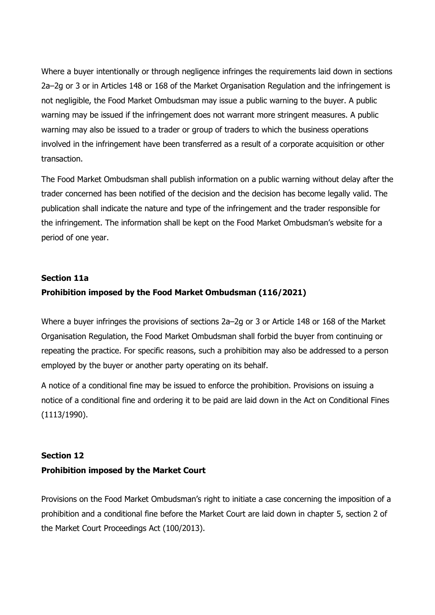Where a buyer intentionally or through negligence infringes the requirements laid down in sections 2a–2g or 3 or in Articles 148 or 168 of the Market Organisation Regulation and the infringement is not negligible, the Food Market Ombudsman may issue a public warning to the buyer. A public warning may be issued if the infringement does not warrant more stringent measures. A public warning may also be issued to a trader or group of traders to which the business operations involved in the infringement have been transferred as a result of a corporate acquisition or other transaction.

The Food Market Ombudsman shall publish information on a public warning without delay after the trader concerned has been notified of the decision and the decision has become legally valid. The publication shall indicate the nature and type of the infringement and the trader responsible for the infringement. The information shall be kept on the Food Market Ombudsman's website for a period of one year.

## Section 11a Prohibition imposed by the Food Market Ombudsman (116/2021)

Where a buyer infringes the provisions of sections 2a–2g or 3 or Article 148 or 168 of the Market Organisation Regulation, the Food Market Ombudsman shall forbid the buyer from continuing or repeating the practice. For specific reasons, such a prohibition may also be addressed to a person employed by the buyer or another party operating on its behalf.

A notice of a conditional fine may be issued to enforce the prohibition. Provisions on issuing a notice of a conditional fine and ordering it to be paid are laid down in the Act on Conditional Fines (1113/1990).

## Section 12 Prohibition imposed by the Market Court

Provisions on the Food Market Ombudsman's right to initiate a case concerning the imposition of a prohibition and a conditional fine before the Market Court are laid down in chapter 5, section 2 of the Market Court Proceedings Act (100/2013).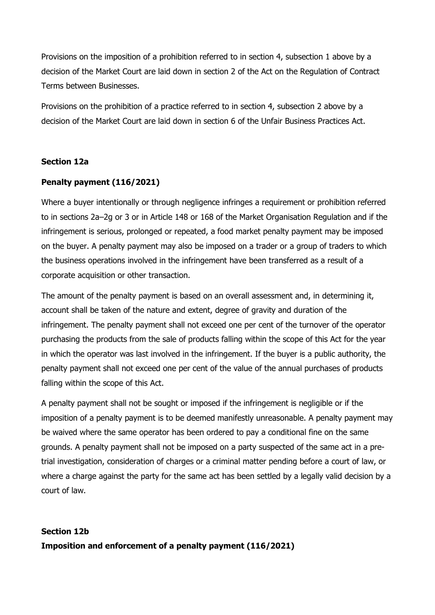Provisions on the imposition of a prohibition referred to in section 4, subsection 1 above by a decision of the Market Court are laid down in section 2 of the Act on the Regulation of Contract Terms between Businesses.

Provisions on the prohibition of a practice referred to in section 4, subsection 2 above by a decision of the Market Court are laid down in section 6 of the Unfair Business Practices Act.

### Section 12a

#### Penalty payment (116/2021)

Where a buyer intentionally or through negligence infringes a requirement or prohibition referred to in sections 2a–2g or 3 or in Article 148 or 168 of the Market Organisation Regulation and if the infringement is serious, prolonged or repeated, a food market penalty payment may be imposed on the buyer. A penalty payment may also be imposed on a trader or a group of traders to which the business operations involved in the infringement have been transferred as a result of a corporate acquisition or other transaction.

The amount of the penalty payment is based on an overall assessment and, in determining it, account shall be taken of the nature and extent, degree of gravity and duration of the infringement. The penalty payment shall not exceed one per cent of the turnover of the operator purchasing the products from the sale of products falling within the scope of this Act for the year in which the operator was last involved in the infringement. If the buyer is a public authority, the penalty payment shall not exceed one per cent of the value of the annual purchases of products falling within the scope of this Act.

A penalty payment shall not be sought or imposed if the infringement is negligible or if the imposition of a penalty payment is to be deemed manifestly unreasonable. A penalty payment may be waived where the same operator has been ordered to pay a conditional fine on the same grounds. A penalty payment shall not be imposed on a party suspected of the same act in a pretrial investigation, consideration of charges or a criminal matter pending before a court of law, or where a charge against the party for the same act has been settled by a legally valid decision by a court of law.

## Section 12b Imposition and enforcement of a penalty payment (116/2021)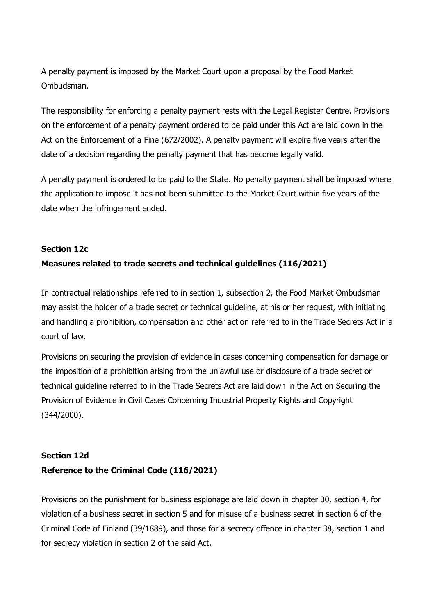A penalty payment is imposed by the Market Court upon a proposal by the Food Market Ombudsman.

The responsibility for enforcing a penalty payment rests with the Legal Register Centre. Provisions on the enforcement of a penalty payment ordered to be paid under this Act are laid down in the Act on the Enforcement of a Fine (672/2002). A penalty payment will expire five years after the date of a decision regarding the penalty payment that has become legally valid.

A penalty payment is ordered to be paid to the State. No penalty payment shall be imposed where the application to impose it has not been submitted to the Market Court within five years of the date when the infringement ended.

#### Section 12c

#### Measures related to trade secrets and technical guidelines (116/2021)

In contractual relationships referred to in section 1, subsection 2, the Food Market Ombudsman may assist the holder of a trade secret or technical guideline, at his or her request, with initiating and handling a prohibition, compensation and other action referred to in the Trade Secrets Act in a court of law.

Provisions on securing the provision of evidence in cases concerning compensation for damage or the imposition of a prohibition arising from the unlawful use or disclosure of a trade secret or technical guideline referred to in the Trade Secrets Act are laid down in the Act on Securing the Provision of Evidence in Civil Cases Concerning Industrial Property Rights and Copyright (344/2000).

## Section 12d Reference to the Criminal Code (116/2021)

Provisions on the punishment for business espionage are laid down in chapter 30, section 4, for violation of a business secret in section 5 and for misuse of a business secret in section 6 of the Criminal Code of Finland (39/1889), and those for a secrecy offence in chapter 38, section 1 and for secrecy violation in section 2 of the said Act.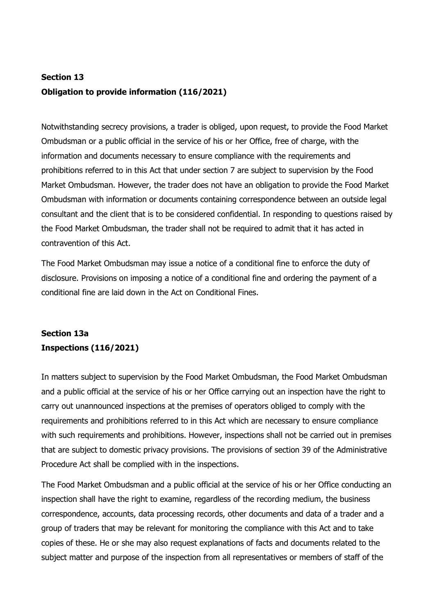# Section 13 Obligation to provide information (116/2021)

Notwithstanding secrecy provisions, a trader is obliged, upon request, to provide the Food Market Ombudsman or a public official in the service of his or her Office, free of charge, with the information and documents necessary to ensure compliance with the requirements and prohibitions referred to in this Act that under section 7 are subject to supervision by the Food Market Ombudsman. However, the trader does not have an obligation to provide the Food Market Ombudsman with information or documents containing correspondence between an outside legal consultant and the client that is to be considered confidential. In responding to questions raised by the Food Market Ombudsman, the trader shall not be required to admit that it has acted in contravention of this Act.

The Food Market Ombudsman may issue a notice of a conditional fine to enforce the duty of disclosure. Provisions on imposing a notice of a conditional fine and ordering the payment of a conditional fine are laid down in the Act on Conditional Fines.

## Section 13a Inspections (116/2021)

In matters subject to supervision by the Food Market Ombudsman, the Food Market Ombudsman and a public official at the service of his or her Office carrying out an inspection have the right to carry out unannounced inspections at the premises of operators obliged to comply with the requirements and prohibitions referred to in this Act which are necessary to ensure compliance with such requirements and prohibitions. However, inspections shall not be carried out in premises that are subject to domestic privacy provisions. The provisions of section 39 of the Administrative Procedure Act shall be complied with in the inspections.

The Food Market Ombudsman and a public official at the service of his or her Office conducting an inspection shall have the right to examine, regardless of the recording medium, the business correspondence, accounts, data processing records, other documents and data of a trader and a group of traders that may be relevant for monitoring the compliance with this Act and to take copies of these. He or she may also request explanations of facts and documents related to the subject matter and purpose of the inspection from all representatives or members of staff of the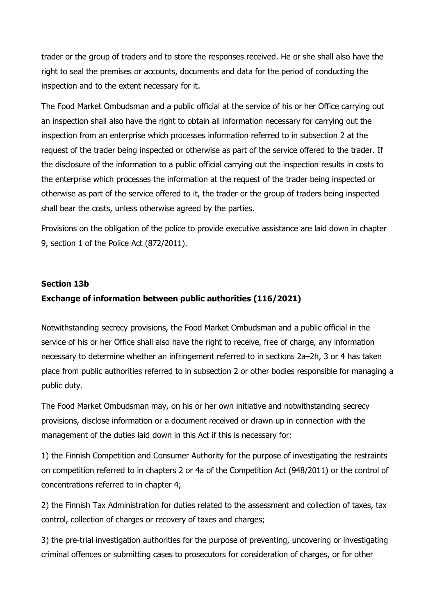trader or the group of traders and to store the responses received. He or she shall also have the right to seal the premises or accounts, documents and data for the period of conducting the inspection and to the extent necessary for it.

The Food Market Ombudsman and a public official at the service of his or her Office carrying out an inspection shall also have the right to obtain all information necessary for carrying out the inspection from an enterprise which processes information referred to in subsection 2 at the request of the trader being inspected or otherwise as part of the service offered to the trader. If the disclosure of the information to a public official carrying out the inspection results in costs to the enterprise which processes the information at the request of the trader being inspected or otherwise as part of the service offered to it, the trader or the group of traders being inspected shall bear the costs, unless otherwise agreed by the parties.

Provisions on the obligation of the police to provide executive assistance are laid down in chapter 9, section 1 of the Police Act (872/2011).

#### Section 13b

#### Exchange of information between public authorities (116/2021)

Notwithstanding secrecy provisions, the Food Market Ombudsman and a public official in the service of his or her Office shall also have the right to receive, free of charge, any information necessary to determine whether an infringement referred to in sections 2a–2h, 3 or 4 has taken place from public authorities referred to in subsection 2 or other bodies responsible for managing a public duty.

The Food Market Ombudsman may, on his or her own initiative and notwithstanding secrecy provisions, disclose information or a document received or drawn up in connection with the management of the duties laid down in this Act if this is necessary for:

1) the Finnish Competition and Consumer Authority for the purpose of investigating the restraints on competition referred to in chapters 2 or 4a of the Competition Act (948/2011) or the control of concentrations referred to in chapter 4;

2) the Finnish Tax Administration for duties related to the assessment and collection of taxes, tax control, collection of charges or recovery of taxes and charges;

3) the pre-trial investigation authorities for the purpose of preventing, uncovering or investigating criminal offences or submitting cases to prosecutors for consideration of charges, or for other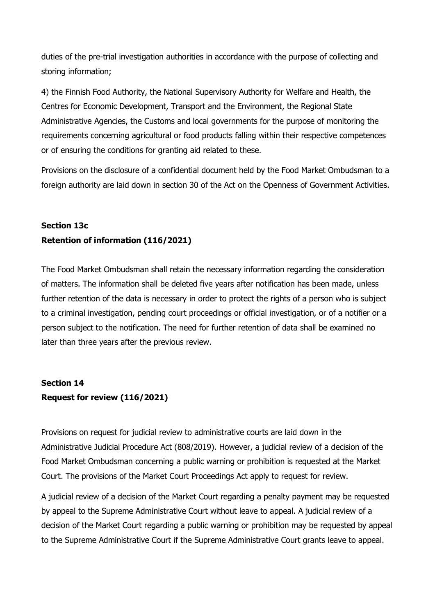duties of the pre-trial investigation authorities in accordance with the purpose of collecting and storing information;

4) the Finnish Food Authority, the National Supervisory Authority for Welfare and Health, the Centres for Economic Development, Transport and the Environment, the Regional State Administrative Agencies, the Customs and local governments for the purpose of monitoring the requirements concerning agricultural or food products falling within their respective competences or of ensuring the conditions for granting aid related to these.

Provisions on the disclosure of a confidential document held by the Food Market Ombudsman to a foreign authority are laid down in section 30 of the Act on the Openness of Government Activities.

## Section 13c Retention of information (116/2021)

The Food Market Ombudsman shall retain the necessary information regarding the consideration of matters. The information shall be deleted five years after notification has been made, unless further retention of the data is necessary in order to protect the rights of a person who is subject to a criminal investigation, pending court proceedings or official investigation, or of a notifier or a person subject to the notification. The need for further retention of data shall be examined no later than three years after the previous review.

## Section 14 Request for review (116/2021)

Provisions on request for judicial review to administrative courts are laid down in the Administrative Judicial Procedure Act (808/2019). However, a judicial review of a decision of the Food Market Ombudsman concerning a public warning or prohibition is requested at the Market Court. The provisions of the Market Court Proceedings Act apply to request for review.

A judicial review of a decision of the Market Court regarding a penalty payment may be requested by appeal to the Supreme Administrative Court without leave to appeal. A judicial review of a decision of the Market Court regarding a public warning or prohibition may be requested by appeal to the Supreme Administrative Court if the Supreme Administrative Court grants leave to appeal.